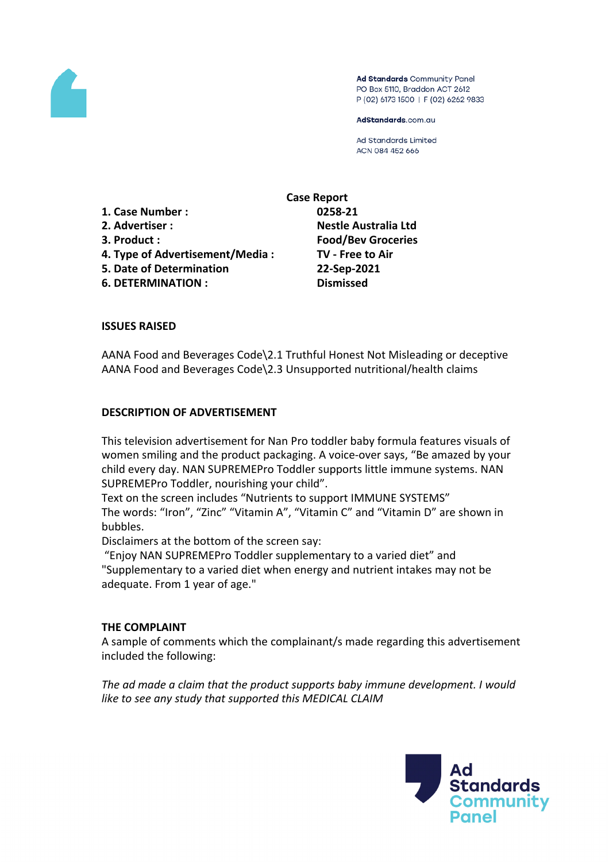

Ad Standards Community Panel PO Box 5110, Braddon ACT 2612 P (02) 6173 1500 | F (02) 6262 9833

AdStandards.com.au

Ad Standards Limited ACN 084 452 666

**1. Case Number : 0258-21 2. Advertiser : Nestle Australia Ltd 3. Product : Food/Bev Groceries 4. Type of Advertisement/Media : TV - Free to Air 5. Date of Determination 22-Sep-2021**

**6. DETERMINATION : Dismissed**

**Case Report**

## **ISSUES RAISED**

AANA Food and Beverages Code\2.1 Truthful Honest Not Misleading or deceptive AANA Food and Beverages Code\2.3 Unsupported nutritional/health claims

## **DESCRIPTION OF ADVERTISEMENT**

This television advertisement for Nan Pro toddler baby formula features visuals of women smiling and the product packaging. A voice-over says, "Be amazed by your child every day. NAN SUPREMEPro Toddler supports little immune systems. NAN SUPREMEPro Toddler, nourishing your child".

Text on the screen includes "Nutrients to support IMMUNE SYSTEMS" The words: "Iron", "Zinc" "Vitamin A", "Vitamin C" and "Vitamin D" are shown in bubbles.

Disclaimers at the bottom of the screen say:

"Enjoy NAN SUPREMEPro Toddler supplementary to a varied diet" and "Supplementary to a varied diet when energy and nutrient intakes may not be adequate. From 1 year of age."

### **THE COMPLAINT**

A sample of comments which the complainant/s made regarding this advertisement included the following:

*The ad made a claim that the product supports baby immune development. I would like to see any study that supported this MEDICAL CLAIM*

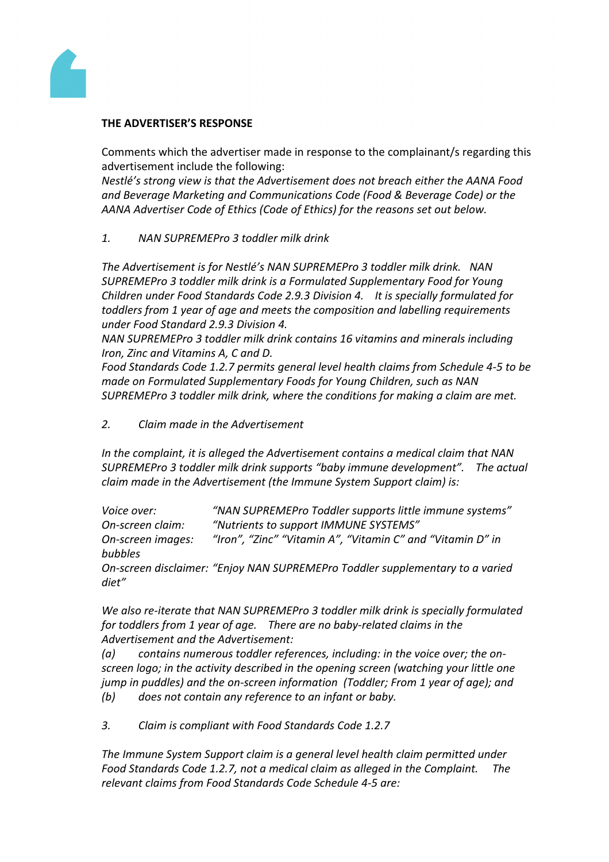

# **THE ADVERTISER'S RESPONSE**

Comments which the advertiser made in response to the complainant/s regarding this advertisement include the following:

*Nestlé's strong view is that the Advertisement does not breach either the AANA Food and Beverage Marketing and Communications Code (Food & Beverage Code) or the AANA Advertiser Code of Ethics (Code of Ethics) for the reasons set out below.*

# *1. NAN SUPREMEPro 3 toddler milk drink*

*The Advertisement is for Nestlé's NAN SUPREMEPro 3 toddler milk drink. NAN SUPREMEPro 3 toddler milk drink is a Formulated Supplementary Food for Young Children under Food Standards Code 2.9.3 Division 4. It is specially formulated for toddlers from 1 year of age and meets the composition and labelling requirements under Food Standard 2.9.3 Division 4.*

*NAN SUPREMEPro 3 toddler milk drink contains 16 vitamins and minerals including Iron, Zinc and Vitamins A, C and D.*

*Food Standards Code 1.2.7 permits general level health claims from Schedule 4-5 to be made on Formulated Supplementary Foods for Young Children, such as NAN SUPREMEPro 3 toddler milk drink, where the conditions for making a claim are met.*

*2. Claim made in the Advertisement*

*In the complaint, it is alleged the Advertisement contains a medical claim that NAN SUPREMEPro 3 toddler milk drink supports "baby immune development". The actual claim made in the Advertisement (the Immune System Support claim) is:*

*Voice over: "NAN SUPREMEPro Toddler supports little immune systems" On-screen claim: "Nutrients to support IMMUNE SYSTEMS" On-screen images: "Iron", "Zinc" "Vitamin A", "Vitamin C" and "Vitamin D" in bubbles On-screen disclaimer: "Enjoy NAN SUPREMEPro Toddler supplementary to a varied*

*diet"*

*We also re-iterate that NAN SUPREMEPro 3 toddler milk drink is specially formulated for toddlers from 1 year of age. There are no baby-related claims in the Advertisement and the Advertisement:*

*(a) contains numerous toddler references, including: in the voice over; the onscreen logo; in the activity described in the opening screen (watching your little one jump in puddles) and the on-screen information (Toddler; From 1 year of age); and (b) does not contain any reference to an infant or baby.* 

*3. Claim is compliant with Food Standards Code 1.2.7*

*The Immune System Support claim is a general level health claim permitted under Food Standards Code 1.2.7, not a medical claim as alleged in the Complaint. The relevant claims from Food Standards Code Schedule 4-5 are:*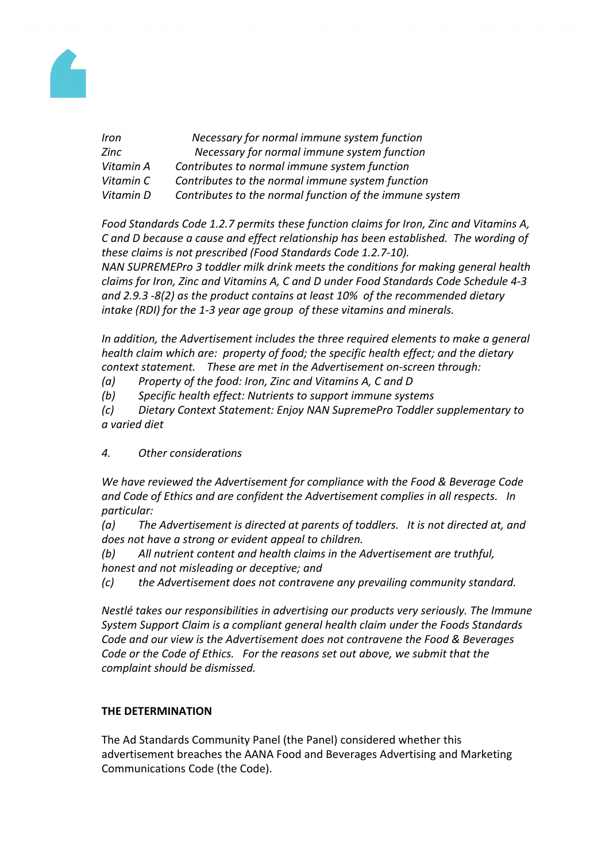

| Iron      | Necessary for normal immune system function             |
|-----------|---------------------------------------------------------|
| Zinc      | Necessary for normal immune system function             |
| Vitamin A | Contributes to normal immune system function            |
| Vitamin C | Contributes to the normal immune system function        |
| Vitamin D | Contributes to the normal function of the immune system |

*Food Standards Code 1.2.7 permits these function claims for Iron, Zinc and Vitamins A, C and D because a cause and effect relationship has been established. The wording of these claims is not prescribed (Food Standards Code 1.2.7-10). NAN SUPREMEPro 3 toddler milk drink meets the conditions for making general health claims for Iron, Zinc and Vitamins A, C and D under Food Standards Code Schedule 4-3 and 2.9.3 -8(2) as the product contains at least 10% of the recommended dietary intake (RDI) for the 1-3 year age group of these vitamins and minerals.*

*In addition, the Advertisement includes the three required elements to make a general health claim which are: property of food; the specific health effect; and the dietary context statement. These are met in the Advertisement on-screen through:*

- *(a) Property of the food: Iron, Zinc and Vitamins A, C and D*
- *(b) Specific health effect: Nutrients to support immune systems*

*(c) Dietary Context Statement: Enjoy NAN SupremePro Toddler supplementary to a varied diet*

# *4. Other considerations*

*We have reviewed the Advertisement for compliance with the Food & Beverage Code and Code of Ethics and are confident the Advertisement complies in all respects. In particular:*

*(a) The Advertisement is directed at parents of toddlers. It is not directed at, and does not have a strong or evident appeal to children.*

- *(b) All nutrient content and health claims in the Advertisement are truthful, honest and not misleading or deceptive; and*
- *(c) the Advertisement does not contravene any prevailing community standard.*

*Nestlé takes our responsibilities in advertising our products very seriously. The Immune System Support Claim is a compliant general health claim under the Foods Standards Code and our view is the Advertisement does not contravene the Food & Beverages Code or the Code of Ethics. For the reasons set out above, we submit that the complaint should be dismissed.*

# **THE DETERMINATION**

The Ad Standards Community Panel (the Panel) considered whether this advertisement breaches the AANA Food and Beverages Advertising and Marketing Communications Code (the Code).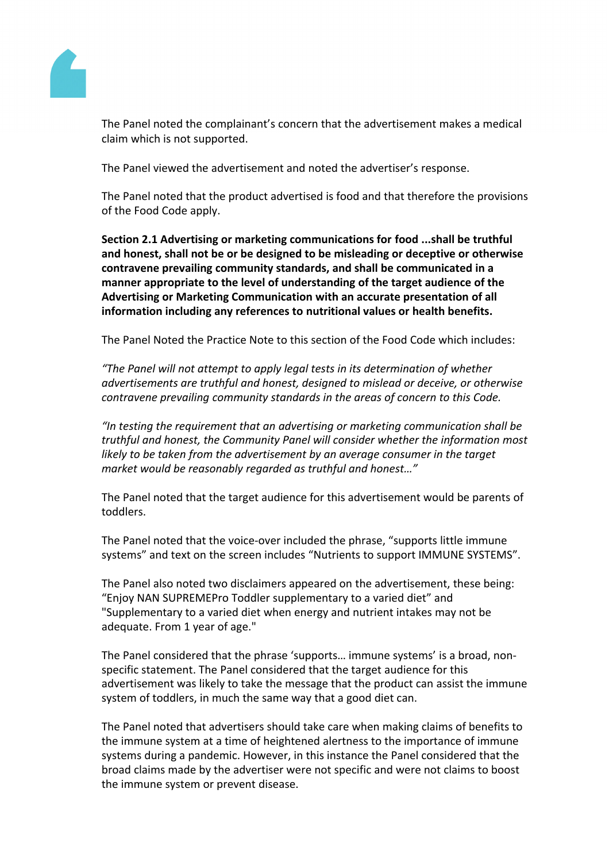

The Panel noted the complainant's concern that the advertisement makes a medical claim which is not supported.

The Panel viewed the advertisement and noted the advertiser's response.

The Panel noted that the product advertised is food and that therefore the provisions of the Food Code apply.

**Section 2.1 Advertising or marketing communications for food ...shall be truthful and honest, shall not be or be designed to be misleading or deceptive or otherwise contravene prevailing community standards, and shall be communicated in a manner appropriate to the level of understanding of the target audience of the Advertising or Marketing Communication with an accurate presentation of all information including any references to nutritional values or health benefits.**

The Panel Noted the Practice Note to this section of the Food Code which includes:

*"The Panel will not attempt to apply legal tests in its determination of whether advertisements are truthful and honest, designed to mislead or deceive, or otherwise contravene prevailing community standards in the areas of concern to this Code.*

*"In testing the requirement that an advertising or marketing communication shall be truthful and honest, the Community Panel will consider whether the information most likely to be taken from the advertisement by an average consumer in the target market would be reasonably regarded as truthful and honest…"*

The Panel noted that the target audience for this advertisement would be parents of toddlers.

The Panel noted that the voice-over included the phrase, "supports little immune systems" and text on the screen includes "Nutrients to support IMMUNE SYSTEMS".

The Panel also noted two disclaimers appeared on the advertisement, these being: "Enjoy NAN SUPREMEPro Toddler supplementary to a varied diet" and "Supplementary to a varied diet when energy and nutrient intakes may not be adequate. From 1 year of age."

The Panel considered that the phrase 'supports… immune systems' is a broad, nonspecific statement. The Panel considered that the target audience for this advertisement was likely to take the message that the product can assist the immune system of toddlers, in much the same way that a good diet can.

The Panel noted that advertisers should take care when making claims of benefits to the immune system at a time of heightened alertness to the importance of immune systems during a pandemic. However, in this instance the Panel considered that the broad claims made by the advertiser were not specific and were not claims to boost the immune system or prevent disease.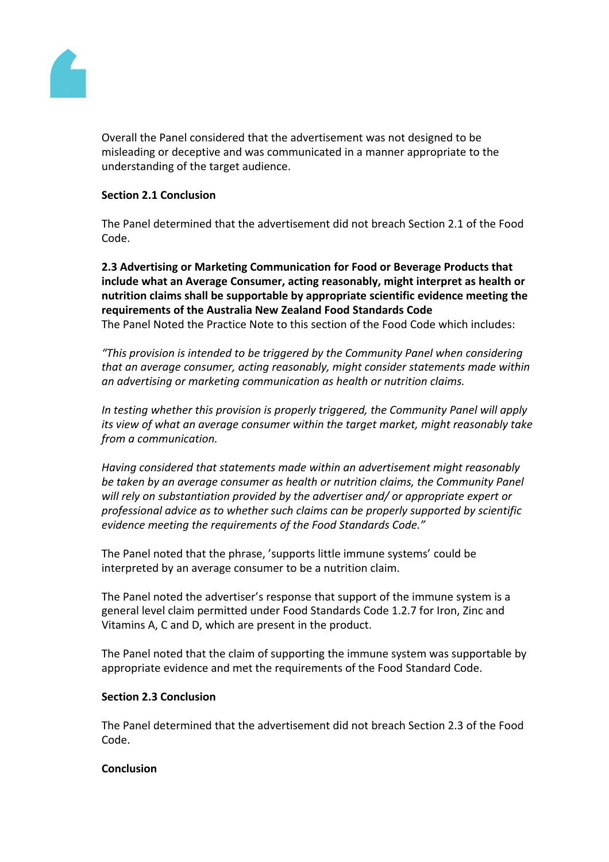

Overall the Panel considered that the advertisement was not designed to be misleading or deceptive and was communicated in a manner appropriate to the understanding of the target audience.

## **Section 2.1 Conclusion**

The Panel determined that the advertisement did not breach Section 2.1 of the Food Code.

**2.3 Advertising or Marketing Communication for Food or Beverage Products that include what an Average Consumer, acting reasonably, might interpret as health or nutrition claims shall be supportable by appropriate scientific evidence meeting the requirements of the Australia New Zealand Food Standards Code** The Panel Noted the Practice Note to this section of the Food Code which includes:

*"This provision is intended to be triggered by the Community Panel when considering that an average consumer, acting reasonably, might consider statements made within an advertising or marketing communication as health or nutrition claims.*

*In testing whether this provision is properly triggered, the Community Panel will apply its view of what an average consumer within the target market, might reasonably take from a communication.*

*Having considered that statements made within an advertisement might reasonably be taken by an average consumer as health or nutrition claims, the Community Panel will rely on substantiation provided by the advertiser and/ or appropriate expert or professional advice as to whether such claims can be properly supported by scientific evidence meeting the requirements of the Food Standards Code."*

The Panel noted that the phrase, 'supports little immune systems' could be interpreted by an average consumer to be a nutrition claim.

The Panel noted the advertiser's response that support of the immune system is a general level claim permitted under Food Standards Code 1.2.7 for Iron, Zinc and Vitamins A, C and D, which are present in the product.

The Panel noted that the claim of supporting the immune system was supportable by appropriate evidence and met the requirements of the Food Standard Code.

## **Section 2.3 Conclusion**

The Panel determined that the advertisement did not breach Section 2.3 of the Food Code.

### **Conclusion**